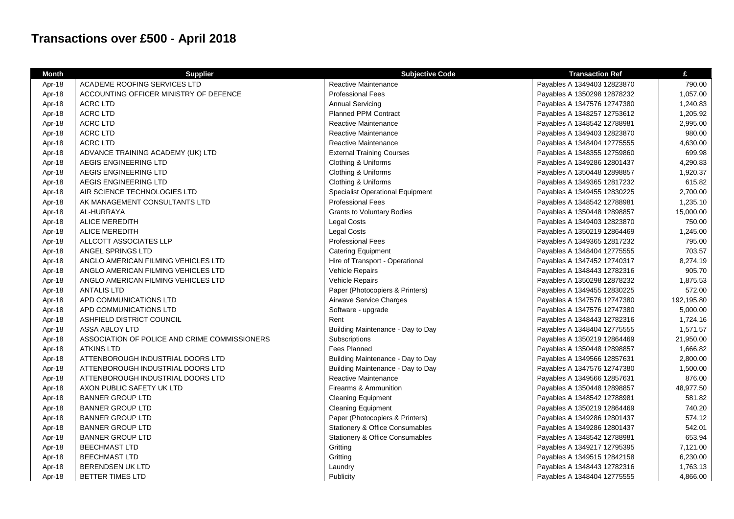## **Transactions over £500 - April 2018**

| <b>Month</b> | <b>Supplier</b>                               | <b>Subjective Code</b>                     | <b>Transaction Ref</b>      | £          |
|--------------|-----------------------------------------------|--------------------------------------------|-----------------------------|------------|
| Apr-18       | ACADEME ROOFING SERVICES LTD                  | Reactive Maintenance                       | Payables A 1349403 12823870 | 790.00     |
| Apr-18       | ACCOUNTING OFFICER MINISTRY OF DEFENCE        | <b>Professional Fees</b>                   | Payables A 1350298 12878232 | 1,057.00   |
| Apr-18       | <b>ACRC LTD</b>                               | <b>Annual Servicing</b>                    | Payables A 1347576 12747380 | 1,240.83   |
| Apr-18       | <b>ACRC LTD</b>                               | <b>Planned PPM Contract</b>                | Payables A 1348257 12753612 | 1,205.92   |
| Apr-18       | <b>ACRC LTD</b>                               | Reactive Maintenance                       | Payables A 1348542 12788981 | 2,995.00   |
| Apr-18       | <b>ACRC LTD</b>                               | Reactive Maintenance                       | Payables A 1349403 12823870 | 980.00     |
| Apr-18       | <b>ACRC LTD</b>                               | Reactive Maintenance                       | Payables A 1348404 12775555 | 4,630.00   |
| Apr-18       | ADVANCE TRAINING ACADEMY (UK) LTD             | <b>External Training Courses</b>           | Payables A 1348355 12759860 | 699.98     |
| Apr-18       | AEGIS ENGINEERING LTD                         | Clothing & Uniforms                        | Payables A 1349286 12801437 | 4,290.83   |
| Apr-18       | AEGIS ENGINEERING LTD                         | Clothing & Uniforms                        | Payables A 1350448 12898857 | 1,920.37   |
| Apr-18       | AEGIS ENGINEERING LTD                         | Clothing & Uniforms                        | Payables A 1349365 12817232 | 615.82     |
| Apr-18       | AIR SCIENCE TECHNOLOGIES LTD                  | <b>Specialist Operational Equipment</b>    | Payables A 1349455 12830225 | 2,700.00   |
| Apr-18       | AK MANAGEMENT CONSULTANTS LTD                 | <b>Professional Fees</b>                   | Payables A 1348542 12788981 | 1,235.10   |
| Apr-18       | AL-HURRAYA                                    | <b>Grants to Voluntary Bodies</b>          | Payables A 1350448 12898857 | 15,000.00  |
| Apr-18       | <b>ALICE MEREDITH</b>                         | <b>Legal Costs</b>                         | Payables A 1349403 12823870 | 750.00     |
| Apr-18       | <b>ALICE MEREDITH</b>                         | <b>Legal Costs</b>                         | Payables A 1350219 12864469 | 1,245.00   |
| Apr-18       | ALLCOTT ASSOCIATES LLP                        | <b>Professional Fees</b>                   | Payables A 1349365 12817232 | 795.00     |
| Apr-18       | ANGEL SPRINGS LTD                             | <b>Catering Equipment</b>                  | Payables A 1348404 12775555 | 703.57     |
| Apr-18       | ANGLO AMERICAN FILMING VEHICLES LTD           | Hire of Transport - Operational            | Payables A 1347452 12740317 | 8,274.19   |
| Apr-18       | ANGLO AMERICAN FILMING VEHICLES LTD           | Vehicle Repairs                            | Payables A 1348443 12782316 | 905.70     |
| Apr-18       | ANGLO AMERICAN FILMING VEHICLES LTD           | Vehicle Repairs                            | Payables A 1350298 12878232 | 1,875.53   |
| Apr-18       | <b>ANTALIS LTD</b>                            | Paper (Photocopiers & Printers)            | Payables A 1349455 12830225 | 572.00     |
| Apr-18       | APD COMMUNICATIONS LTD                        | Airwave Service Charges                    | Payables A 1347576 12747380 | 192,195.80 |
| Apr-18       | APD COMMUNICATIONS LTD                        | Software - upgrade                         | Payables A 1347576 12747380 | 5,000.00   |
| Apr-18       | ASHFIELD DISTRICT COUNCIL                     | Rent                                       | Payables A 1348443 12782316 | 1,724.16   |
| Apr-18       | <b>ASSA ABLOY LTD</b>                         | Building Maintenance - Day to Day          | Payables A 1348404 12775555 | 1,571.57   |
| Apr-18       | ASSOCIATION OF POLICE AND CRIME COMMISSIONERS | Subscriptions                              | Payables A 1350219 12864469 | 21,950.00  |
| Apr-18       | <b>ATKINS LTD</b>                             | Fees Planned                               | Payables A 1350448 12898857 | 1,666.82   |
| Apr-18       | ATTENBOROUGH INDUSTRIAL DOORS LTD             | Building Maintenance - Day to Day          | Payables A 1349566 12857631 | 2,800.00   |
| Apr-18       | ATTENBOROUGH INDUSTRIAL DOORS LTD             | Building Maintenance - Day to Day          | Payables A 1347576 12747380 | 1,500.00   |
| Apr-18       | ATTENBOROUGH INDUSTRIAL DOORS LTD             | Reactive Maintenance                       | Payables A 1349566 12857631 | 876.00     |
| Apr-18       | AXON PUBLIC SAFETY UK LTD                     | Firearms & Ammunition                      | Payables A 1350448 12898857 | 48,977.50  |
| Apr-18       | <b>BANNER GROUP LTD</b>                       | <b>Cleaning Equipment</b>                  | Payables A 1348542 12788981 | 581.82     |
| Apr-18       | <b>BANNER GROUP LTD</b>                       | <b>Cleaning Equipment</b>                  | Payables A 1350219 12864469 | 740.20     |
| Apr-18       | <b>BANNER GROUP LTD</b>                       | Paper (Photocopiers & Printers)            | Payables A 1349286 12801437 | 574.12     |
| Apr-18       | <b>BANNER GROUP LTD</b>                       | Stationery & Office Consumables            | Payables A 1349286 12801437 | 542.01     |
| Apr-18       | <b>BANNER GROUP LTD</b>                       | <b>Stationery &amp; Office Consumables</b> | Payables A 1348542 12788981 | 653.94     |
| Apr-18       | <b>BEECHMAST LTD</b>                          | Gritting                                   | Payables A 1349217 12795395 | 7,121.00   |
| Apr-18       | <b>BEECHMAST LTD</b>                          | Gritting                                   | Payables A 1349515 12842158 | 6,230.00   |
| Apr-18       | <b>BERENDSEN UK LTD</b>                       | Laundry                                    | Payables A 1348443 12782316 | 1,763.13   |
| Apr-18       | <b>BETTER TIMES LTD</b>                       | Publicity                                  | Payables A 1348404 12775555 | 4,866.00   |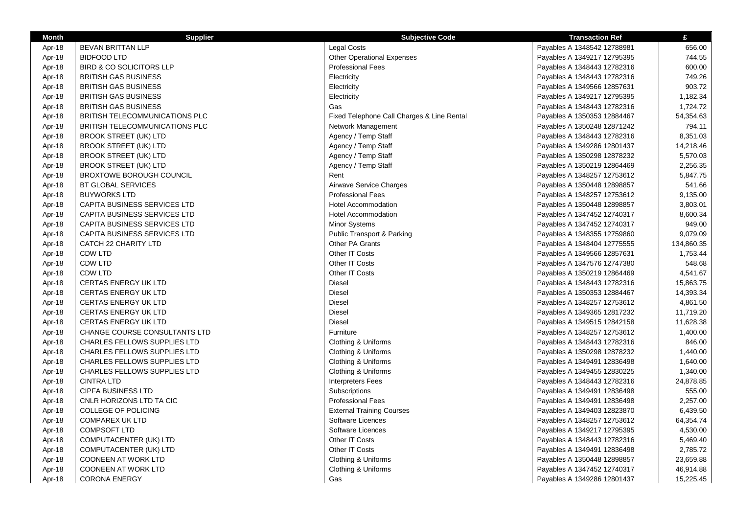| <b>Month</b> | <b>Supplier</b>                       | <b>Subjective Code</b>                     | <b>Transaction Ref</b>      | £          |
|--------------|---------------------------------------|--------------------------------------------|-----------------------------|------------|
| Apr-18       | <b>BEVAN BRITTAN LLP</b>              | Legal Costs                                | Payables A 1348542 12788981 | 656.00     |
| Apr-18       | <b>BIDFOOD LTD</b>                    | <b>Other Operational Expenses</b>          | Payables A 1349217 12795395 | 744.55     |
| Apr-18       | <b>BIRD &amp; CO SOLICITORS LLP</b>   | <b>Professional Fees</b>                   | Payables A 1348443 12782316 | 600.00     |
| Apr-18       | <b>BRITISH GAS BUSINESS</b>           | Electricity                                | Payables A 1348443 12782316 | 749.26     |
| Apr-18       | <b>BRITISH GAS BUSINESS</b>           | Electricity                                | Payables A 1349566 12857631 | 903.72     |
| Apr-18       | <b>BRITISH GAS BUSINESS</b>           | Electricity                                | Payables A 1349217 12795395 | 1,182.34   |
| Apr-18       | <b>BRITISH GAS BUSINESS</b>           | Gas                                        | Payables A 1348443 12782316 | 1,724.72   |
| Apr-18       | <b>BRITISH TELECOMMUNICATIONS PLC</b> | Fixed Telephone Call Charges & Line Rental | Payables A 1350353 12884467 | 54,354.63  |
| Apr-18       | BRITISH TELECOMMUNICATIONS PLC        | Network Management                         | Payables A 1350248 12871242 | 794.11     |
| Apr-18       | <b>BROOK STREET (UK) LTD</b>          | Agency / Temp Staff                        | Payables A 1348443 12782316 | 8,351.03   |
| Apr-18       | <b>BROOK STREET (UK) LTD</b>          | Agency / Temp Staff                        | Payables A 1349286 12801437 | 14,218.46  |
| Apr-18       | <b>BROOK STREET (UK) LTD</b>          | Agency / Temp Staff                        | Payables A 1350298 12878232 | 5,570.03   |
| Apr-18       | <b>BROOK STREET (UK) LTD</b>          | Agency / Temp Staff                        | Payables A 1350219 12864469 | 2,256.35   |
| Apr-18       | <b>BROXTOWE BOROUGH COUNCIL</b>       | Rent                                       | Payables A 1348257 12753612 | 5,847.75   |
| Apr-18       | BT GLOBAL SERVICES                    | Airwave Service Charges                    | Payables A 1350448 12898857 | 541.66     |
| Apr-18       | <b>BUYWORKS LTD</b>                   | <b>Professional Fees</b>                   | Payables A 1348257 12753612 | 9,135.00   |
| Apr-18       | CAPITA BUSINESS SERVICES LTD          | <b>Hotel Accommodation</b>                 | Payables A 1350448 12898857 | 3,803.01   |
| Apr-18       | CAPITA BUSINESS SERVICES LTD          | <b>Hotel Accommodation</b>                 | Payables A 1347452 12740317 | 8,600.34   |
| Apr-18       | CAPITA BUSINESS SERVICES LTD          | Minor Systems                              | Payables A 1347452 12740317 | 949.00     |
| Apr-18       | CAPITA BUSINESS SERVICES LTD          | <b>Public Transport &amp; Parking</b>      | Payables A 1348355 12759860 | 9,079.09   |
| Apr-18       | CATCH 22 CHARITY LTD                  | Other PA Grants                            | Payables A 1348404 12775555 | 134,860.35 |
| Apr-18       | <b>CDW LTD</b>                        | Other IT Costs                             | Payables A 1349566 12857631 | 1,753.44   |
| Apr-18       | <b>CDW LTD</b>                        | Other IT Costs                             | Payables A 1347576 12747380 | 548.68     |
| Apr-18       | <b>CDW LTD</b>                        | Other IT Costs                             | Payables A 1350219 12864469 | 4,541.67   |
| Apr-18       | <b>CERTAS ENERGY UK LTD</b>           | Diesel                                     | Payables A 1348443 12782316 | 15,863.75  |
| Apr-18       | <b>CERTAS ENERGY UK LTD</b>           | Diesel                                     | Payables A 1350353 12884467 | 14,393.34  |
| Apr-18       | <b>CERTAS ENERGY UK LTD</b>           | <b>Diesel</b>                              | Payables A 1348257 12753612 | 4,861.50   |
| Apr-18       | <b>CERTAS ENERGY UK LTD</b>           | <b>Diesel</b>                              | Payables A 1349365 12817232 | 11,719.20  |
| Apr-18       | <b>CERTAS ENERGY UK LTD</b>           | <b>Diesel</b>                              | Payables A 1349515 12842158 | 11,628.38  |
| Apr-18       | CHANGE COURSE CONSULTANTS LTD         | Furniture                                  | Payables A 1348257 12753612 | 1,400.00   |
| Apr-18       | <b>CHARLES FELLOWS SUPPLIES LTD</b>   | Clothing & Uniforms                        | Payables A 1348443 12782316 | 846.00     |
| Apr-18       | CHARLES FELLOWS SUPPLIES LTD          | Clothing & Uniforms                        | Payables A 1350298 12878232 | 1,440.00   |
| Apr-18       | CHARLES FELLOWS SUPPLIES LTD          | Clothing & Uniforms                        | Payables A 1349491 12836498 | 1,640.00   |
| Apr-18       | CHARLES FELLOWS SUPPLIES LTD          | Clothing & Uniforms                        | Payables A 1349455 12830225 | 1,340.00   |
| Apr-18       | <b>CINTRA LTD</b>                     | <b>Interpreters Fees</b>                   | Payables A 1348443 12782316 | 24,878.85  |
| Apr-18       | <b>CIPFA BUSINESS LTD</b>             | Subscriptions                              | Payables A 1349491 12836498 | 555.00     |
| Apr-18       | CNLR HORIZONS LTD TA CIC              | <b>Professional Fees</b>                   | Payables A 1349491 12836498 | 2,257.00   |
| Apr-18       | <b>COLLEGE OF POLICING</b>            | <b>External Training Courses</b>           | Payables A 1349403 12823870 | 6,439.50   |
| Apr-18       | <b>COMPAREX UK LTD</b>                | Software Licences                          | Payables A 1348257 12753612 | 64,354.74  |
| Apr-18       | <b>COMPSOFT LTD</b>                   | Software Licences                          | Payables A 1349217 12795395 | 4,530.00   |
| Apr-18       | COMPUTACENTER (UK) LTD                | Other IT Costs                             | Payables A 1348443 12782316 | 5,469.40   |
| Apr-18       | COMPUTACENTER (UK) LTD                | Other IT Costs                             | Payables A 1349491 12836498 | 2,785.72   |
| Apr-18       | <b>COONEEN AT WORK LTD</b>            | Clothing & Uniforms                        | Payables A 1350448 12898857 | 23,659.88  |
| Apr-18       | <b>COONEEN AT WORK LTD</b>            | Clothing & Uniforms                        | Payables A 1347452 12740317 | 46,914.88  |
| Apr-18       | <b>CORONA ENERGY</b>                  | Gas                                        | Payables A 1349286 12801437 | 15,225.45  |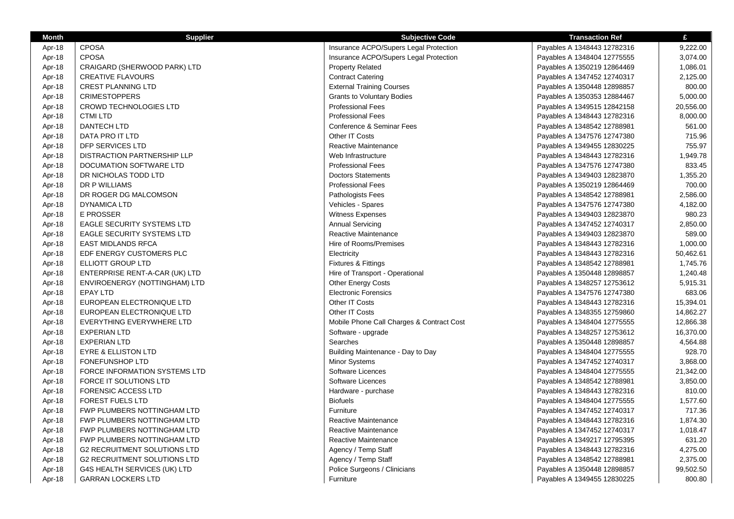| <b>Month</b> | <b>Supplier</b>                     | <b>Subjective Code</b>                    | <b>Transaction Ref</b>      | £         |
|--------------|-------------------------------------|-------------------------------------------|-----------------------------|-----------|
| Apr-18       | <b>CPOSA</b>                        | Insurance ACPO/Supers Legal Protection    | Payables A 1348443 12782316 | 9,222.00  |
| Apr-18       | <b>CPOSA</b>                        | Insurance ACPO/Supers Legal Protection    | Payables A 1348404 12775555 | 3,074.00  |
| Apr-18       | CRAIGARD (SHERWOOD PARK) LTD        | <b>Property Related</b>                   | Payables A 1350219 12864469 | 1,086.01  |
| Apr-18       | <b>CREATIVE FLAVOURS</b>            | <b>Contract Catering</b>                  | Payables A 1347452 12740317 | 2,125.00  |
| Apr-18       | <b>CREST PLANNING LTD</b>           | <b>External Training Courses</b>          | Payables A 1350448 12898857 | 800.00    |
| Apr-18       | <b>CRIMESTOPPERS</b>                | <b>Grants to Voluntary Bodies</b>         | Payables A 1350353 12884467 | 5,000.00  |
| Apr-18       | <b>CROWD TECHNOLOGIES LTD</b>       | <b>Professional Fees</b>                  | Payables A 1349515 12842158 | 20,556.00 |
| Apr-18       | <b>CTMI LTD</b>                     | <b>Professional Fees</b>                  | Payables A 1348443 12782316 | 8,000.00  |
| Apr-18       | DANTECH LTD                         | Conference & Seminar Fees                 | Payables A 1348542 12788981 | 561.00    |
| Apr-18       | DATA PRO IT LTD                     | Other IT Costs                            | Payables A 1347576 12747380 | 715.96    |
| Apr-18       | DFP SERVICES LTD                    | Reactive Maintenance                      | Payables A 1349455 12830225 | 755.97    |
| Apr-18       | <b>DISTRACTION PARTNERSHIP LLP</b>  | Web Infrastructure                        | Payables A 1348443 12782316 | 1,949.78  |
| Apr-18       | DOCUMATION SOFTWARE LTD             | <b>Professional Fees</b>                  | Payables A 1347576 12747380 | 833.45    |
| Apr-18       | DR NICHOLAS TODD LTD                | <b>Doctors Statements</b>                 | Payables A 1349403 12823870 | 1,355.20  |
| Apr-18       | DR P WILLIAMS                       | <b>Professional Fees</b>                  | Payables A 1350219 12864469 | 700.00    |
| Apr-18       | DR ROGER DG MALCOMSON               | Pathologists Fees                         | Payables A 1348542 12788981 | 2,586.00  |
| Apr-18       | <b>DYNAMICA LTD</b>                 | Vehicles - Spares                         | Payables A 1347576 12747380 | 4,182.00  |
| Apr-18       | <b>E PROSSER</b>                    | Witness Expenses                          | Payables A 1349403 12823870 | 980.23    |
| Apr-18       | <b>EAGLE SECURITY SYSTEMS LTD</b>   | <b>Annual Servicing</b>                   | Payables A 1347452 12740317 | 2,850.00  |
| Apr-18       | <b>EAGLE SECURITY SYSTEMS LTD</b>   | Reactive Maintenance                      | Payables A 1349403 12823870 | 589.00    |
| Apr-18       | <b>EAST MIDLANDS RFCA</b>           | Hire of Rooms/Premises                    | Payables A 1348443 12782316 | 1,000.00  |
| Apr-18       | EDF ENERGY CUSTOMERS PLC            | Electricity                               | Payables A 1348443 12782316 | 50,462.61 |
| Apr-18       | ELLIOTT GROUP LTD                   | Fixtures & Fittings                       | Payables A 1348542 12788981 | 1,745.76  |
| Apr-18       | ENTERPRISE RENT-A-CAR (UK) LTD      | Hire of Transport - Operational           | Payables A 1350448 12898857 | 1,240.48  |
| Apr-18       | ENVIROENERGY (NOTTINGHAM) LTD       | Other Energy Costs                        | Payables A 1348257 12753612 | 5,915.31  |
| Apr-18       | EPAY LTD                            | <b>Electronic Forensics</b>               | Payables A 1347576 12747380 | 683.06    |
| Apr-18       | EUROPEAN ELECTRONIQUE LTD           | Other IT Costs                            | Payables A 1348443 12782316 | 15,394.01 |
| Apr-18       | EUROPEAN ELECTRONIQUE LTD           | Other IT Costs                            | Payables A 1348355 12759860 | 14,862.27 |
| Apr-18       | EVERYTHING EVERYWHERE LTD           | Mobile Phone Call Charges & Contract Cost | Payables A 1348404 12775555 | 12,866.38 |
| Apr-18       | <b>EXPERIAN LTD</b>                 | Software - upgrade                        | Payables A 1348257 12753612 | 16,370.00 |
| Apr-18       | <b>EXPERIAN LTD</b>                 | Searches                                  | Payables A 1350448 12898857 | 4,564.88  |
| Apr-18       | <b>EYRE &amp; ELLISTON LTD</b>      | Building Maintenance - Day to Day         | Payables A 1348404 12775555 | 928.70    |
| Apr-18       | <b>FONEFUNSHOP LTD</b>              | Minor Systems                             | Payables A 1347452 12740317 | 3,868.00  |
| Apr-18       | FORCE INFORMATION SYSTEMS LTD       | Software Licences                         | Payables A 1348404 12775555 | 21,342.00 |
| Apr-18       | FORCE IT SOLUTIONS LTD              | Software Licences                         | Payables A 1348542 12788981 | 3,850.00  |
| Apr-18       | <b>FORENSIC ACCESS LTD</b>          | Hardware - purchase                       | Payables A 1348443 12782316 | 810.00    |
| Apr-18       | <b>FOREST FUELS LTD</b>             | <b>Biofuels</b>                           | Payables A 1348404 12775555 | 1,577.60  |
| Apr-18       | FWP PLUMBERS NOTTINGHAM LTD         | Furniture                                 | Payables A 1347452 12740317 | 717.36    |
| Apr-18       | FWP PLUMBERS NOTTINGHAM LTD         | Reactive Maintenance                      | Payables A 1348443 12782316 | 1,874.30  |
| Apr-18       | FWP PLUMBERS NOTTINGHAM LTD         | Reactive Maintenance                      | Payables A 1347452 12740317 | 1,018.47  |
| Apr-18       | FWP PLUMBERS NOTTINGHAM LTD         | Reactive Maintenance                      | Payables A 1349217 12795395 | 631.20    |
| Apr-18       | <b>G2 RECRUITMENT SOLUTIONS LTD</b> | Agency / Temp Staff                       | Payables A 1348443 12782316 | 4,275.00  |
| Apr-18       | <b>G2 RECRUITMENT SOLUTIONS LTD</b> | Agency / Temp Staff                       | Payables A 1348542 12788981 | 2,375.00  |
| Apr-18       | G4S HEALTH SERVICES (UK) LTD        | Police Surgeons / Clinicians              | Payables A 1350448 12898857 | 99,502.50 |
| Apr-18       | <b>GARRAN LOCKERS LTD</b>           | Furniture                                 | Payables A 1349455 12830225 | 800.80    |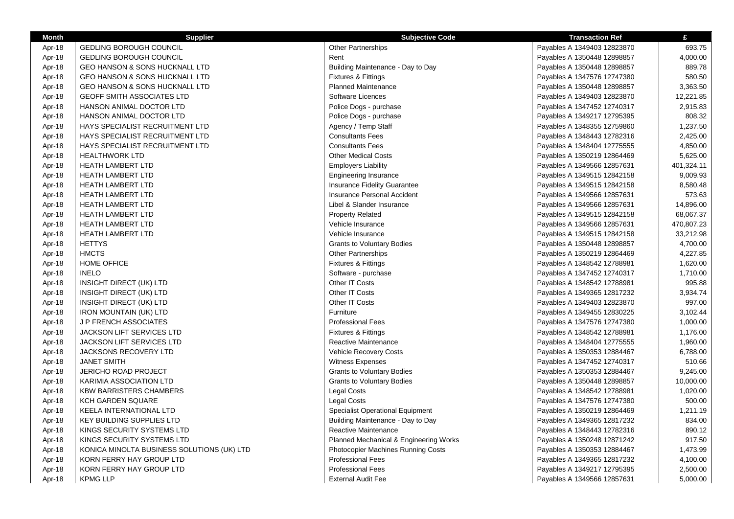| <b>Month</b> | <b>Supplier</b>                            | <b>Subjective Code</b>                  | <b>Transaction Ref</b>      | £          |
|--------------|--------------------------------------------|-----------------------------------------|-----------------------------|------------|
| Apr-18       | <b>GEDLING BOROUGH COUNCIL</b>             | <b>Other Partnerships</b>               | Payables A 1349403 12823870 | 693.75     |
| Apr-18       | <b>GEDLING BOROUGH COUNCIL</b>             | Rent                                    | Payables A 1350448 12898857 | 4,000.00   |
| Apr-18       | GEO HANSON & SONS HUCKNALL LTD             | Building Maintenance - Day to Day       | Payables A 1350448 12898857 | 889.78     |
| Apr-18       | <b>GEO HANSON &amp; SONS HUCKNALL LTD</b>  | Fixtures & Fittings                     | Payables A 1347576 12747380 | 580.50     |
| Apr-18       | GEO HANSON & SONS HUCKNALL LTD             | <b>Planned Maintenance</b>              | Payables A 1350448 12898857 | 3,363.50   |
| Apr-18       | <b>GEOFF SMITH ASSOCIATES LTD</b>          | Software Licences                       | Payables A 1349403 12823870 | 12,221.85  |
| Apr-18       | HANSON ANIMAL DOCTOR LTD                   | Police Dogs - purchase                  | Payables A 1347452 12740317 | 2,915.83   |
| Apr-18       | HANSON ANIMAL DOCTOR LTD                   | Police Dogs - purchase                  | Payables A 1349217 12795395 | 808.32     |
| Apr-18       | HAYS SPECIALIST RECRUITMENT LTD            | Agency / Temp Staff                     | Payables A 1348355 12759860 | 1,237.50   |
| Apr-18       | HAYS SPECIALIST RECRUITMENT LTD            | <b>Consultants Fees</b>                 | Payables A 1348443 12782316 | 2,425.00   |
| Apr-18       | HAYS SPECIALIST RECRUITMENT LTD            | <b>Consultants Fees</b>                 | Payables A 1348404 12775555 | 4,850.00   |
| Apr-18       | <b>HEALTHWORK LTD</b>                      | <b>Other Medical Costs</b>              | Payables A 1350219 12864469 | 5,625.00   |
| Apr-18       | <b>HEATH LAMBERT LTD</b>                   | <b>Employers Liability</b>              | Payables A 1349566 12857631 | 401,324.11 |
| Apr-18       | <b>HEATH LAMBERT LTD</b>                   | <b>Engineering Insurance</b>            | Payables A 1349515 12842158 | 9,009.93   |
| Apr-18       | <b>HEATH LAMBERT LTD</b>                   | Insurance Fidelity Guarantee            | Payables A 1349515 12842158 | 8,580.48   |
| Apr-18       | HEATH LAMBERT LTD                          | Insurance Personal Accident             | Payables A 1349566 12857631 | 573.63     |
| Apr-18       | <b>HEATH LAMBERT LTD</b>                   | Libel & Slander Insurance               | Payables A 1349566 12857631 | 14,896.00  |
| Apr-18       | <b>HEATH LAMBERT LTD</b>                   | <b>Property Related</b>                 | Payables A 1349515 12842158 | 68,067.37  |
| Apr-18       | <b>HEATH LAMBERT LTD</b>                   | Vehicle Insurance                       | Payables A 1349566 12857631 | 470,807.23 |
| Apr-18       | <b>HEATH LAMBERT LTD</b>                   | Vehicle Insurance                       | Payables A 1349515 12842158 | 33,212.98  |
| Apr-18       | <b>HETTYS</b>                              | <b>Grants to Voluntary Bodies</b>       | Payables A 1350448 12898857 | 4,700.00   |
| Apr-18       | <b>HMCTS</b>                               | <b>Other Partnerships</b>               | Payables A 1350219 12864469 | 4,227.85   |
| Apr-18       | <b>HOME OFFICE</b>                         | Fixtures & Fittings                     | Payables A 1348542 12788981 | 1,620.00   |
| Apr-18       | <b>INELO</b>                               | Software - purchase                     | Payables A 1347452 12740317 | 1,710.00   |
| Apr-18       | INSIGHT DIRECT (UK) LTD                    | Other IT Costs                          | Payables A 1348542 12788981 | 995.88     |
| Apr-18       | INSIGHT DIRECT (UK) LTD                    | Other IT Costs                          | Payables A 1349365 12817232 | 3,934.74   |
| Apr-18       | INSIGHT DIRECT (UK) LTD                    | Other IT Costs                          | Payables A 1349403 12823870 | 997.00     |
| Apr-18       | <b>IRON MOUNTAIN (UK) LTD</b>              | Furniture                               | Payables A 1349455 12830225 | 3,102.44   |
| Apr-18       | J P FRENCH ASSOCIATES                      | <b>Professional Fees</b>                | Payables A 1347576 12747380 | 1,000.00   |
| Apr-18       | <b>JACKSON LIFT SERVICES LTD</b>           | Fixtures & Fittings                     | Payables A 1348542 12788981 | 1,176.00   |
| Apr-18       | JACKSON LIFT SERVICES LTD                  | Reactive Maintenance                    | Payables A 1348404 12775555 | 1,960.00   |
| Apr-18       | JACKSONS RECOVERY LTD                      | Vehicle Recovery Costs                  | Payables A 1350353 12884467 | 6,788.00   |
| Apr-18       | <b>JANET SMITH</b>                         | <b>Witness Expenses</b>                 | Payables A 1347452 12740317 | 510.66     |
| Apr-18       | <b>JERICHO ROAD PROJECT</b>                | <b>Grants to Voluntary Bodies</b>       | Payables A 1350353 12884467 | 9,245.00   |
| Apr-18       | KARIMIA ASSOCIATION LTD                    | <b>Grants to Voluntary Bodies</b>       | Payables A 1350448 12898857 | 10,000.00  |
| Apr-18       | <b>KBW BARRISTERS CHAMBERS</b>             | <b>Legal Costs</b>                      | Payables A 1348542 12788981 | 1,020.00   |
| Apr-18       | KCH GARDEN SQUARE                          | <b>Legal Costs</b>                      | Payables A 1347576 12747380 | 500.00     |
| Apr-18       | KEELA INTERNATIONAL LTD                    | <b>Specialist Operational Equipment</b> | Payables A 1350219 12864469 | 1,211.19   |
| Apr-18       | <b>KEY BUILDING SUPPLIES LTD</b>           | Building Maintenance - Day to Day       | Payables A 1349365 12817232 | 834.00     |
| Apr-18       | KINGS SECURITY SYSTEMS LTD                 | Reactive Maintenance                    | Payables A 1348443 12782316 | 890.12     |
| Apr-18       | KINGS SECURITY SYSTEMS LTD                 | Planned Mechanical & Engineering Works  | Payables A 1350248 12871242 | 917.50     |
| Apr-18       | KONICA MINOLTA BUSINESS SOLUTIONS (UK) LTD | Photocopier Machines Running Costs      | Payables A 1350353 12884467 | 1,473.99   |
| Apr-18       | KORN FERRY HAY GROUP LTD                   | <b>Professional Fees</b>                | Payables A 1349365 12817232 | 4,100.00   |
| Apr-18       | KORN FERRY HAY GROUP LTD                   | <b>Professional Fees</b>                | Payables A 1349217 12795395 | 2,500.00   |
| Apr-18       | <b>KPMG LLP</b>                            | <b>External Audit Fee</b>               | Payables A 1349566 12857631 | 5,000.00   |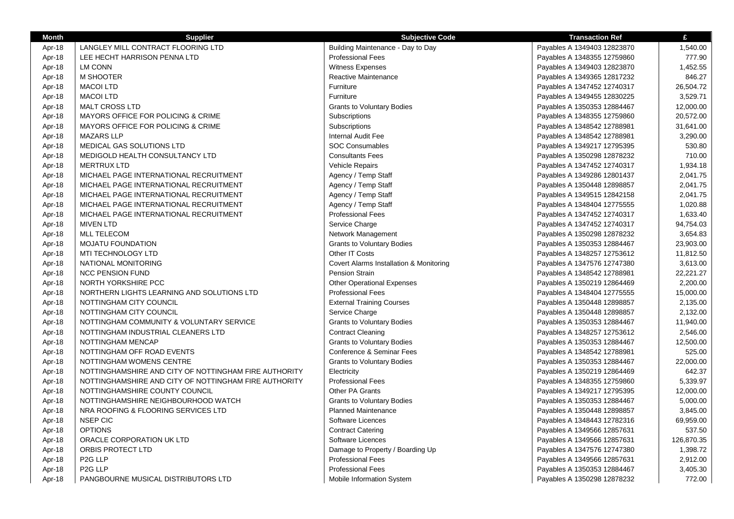| <b>Month</b>     | <b>Supplier</b>                                                                                                | <b>Subjective Code</b>                  | <b>Transaction Ref</b>      | £          |
|------------------|----------------------------------------------------------------------------------------------------------------|-----------------------------------------|-----------------------------|------------|
| Apr-18           | LANGLEY MILL CONTRACT FLOORING LTD                                                                             | Building Maintenance - Day to Day       | Payables A 1349403 12823870 | 1,540.00   |
| Apr-18           | LEE HECHT HARRISON PENNA LTD                                                                                   | <b>Professional Fees</b>                | Payables A 1348355 12759860 | 777.90     |
| Apr-18           | <b>LM CONN</b>                                                                                                 | Witness Expenses                        | Payables A 1349403 12823870 | 1,452.55   |
| Apr-18           | M SHOOTER                                                                                                      | Reactive Maintenance                    | Payables A 1349365 12817232 | 846.27     |
| Apr-18           | <b>MACOI LTD</b>                                                                                               | Furniture                               | Payables A 1347452 12740317 | 26,504.72  |
| Apr-18           | <b>MACOI LTD</b>                                                                                               | Furniture                               | Payables A 1349455 12830225 | 3,529.71   |
| Apr-18           | <b>MALT CROSS LTD</b>                                                                                          | <b>Grants to Voluntary Bodies</b>       | Payables A 1350353 12884467 | 12,000.00  |
| Apr-18           | MAYORS OFFICE FOR POLICING & CRIME                                                                             | Subscriptions                           | Payables A 1348355 12759860 | 20,572.00  |
| Apr-18           | MAYORS OFFICE FOR POLICING & CRIME                                                                             | Subscriptions                           | Payables A 1348542 12788981 | 31,641.00  |
| Apr-18           | <b>MAZARS LLP</b>                                                                                              | Internal Audit Fee                      | Payables A 1348542 12788981 | 3,290.00   |
| Apr-18           | MEDICAL GAS SOLUTIONS LTD                                                                                      | <b>SOC Consumables</b>                  | Payables A 1349217 12795395 | 530.80     |
| Apr-18           | MEDIGOLD HEALTH CONSULTANCY LTD                                                                                | <b>Consultants Fees</b>                 | Payables A 1350298 12878232 | 710.00     |
| Apr-18           | <b>MERTRUX LTD</b>                                                                                             | Vehicle Repairs                         | Payables A 1347452 12740317 | 1,934.18   |
| Apr-18           | MICHAEL PAGE INTERNATIONAL RECRUITMENT                                                                         | Agency / Temp Staff                     | Payables A 1349286 12801437 | 2,041.75   |
| Apr-18           | MICHAEL PAGE INTERNATIONAL RECRUITMENT                                                                         | Agency / Temp Staff                     | Payables A 1350448 12898857 | 2,041.75   |
| Apr-18           | MICHAEL PAGE INTERNATIONAL RECRUITMENT                                                                         | Agency / Temp Staff                     | Payables A 1349515 12842158 | 2,041.75   |
| Apr-18           | MICHAEL PAGE INTERNATIONAL RECRUITMENT                                                                         | Agency / Temp Staff                     | Payables A 1348404 12775555 | 1,020.88   |
| Apr-18           | MICHAEL PAGE INTERNATIONAL RECRUITMENT                                                                         | <b>Professional Fees</b>                | Payables A 1347452 12740317 | 1,633.40   |
| Apr-18           | <b>MIVEN LTD</b>                                                                                               | Service Charge                          | Payables A 1347452 12740317 | 94,754.03  |
| Apr-18           | <b>MLL TELECOM</b>                                                                                             | Network Management                      | Payables A 1350298 12878232 | 3,654.83   |
| Apr-18           | <b>MOJATU FOUNDATION</b>                                                                                       | <b>Grants to Voluntary Bodies</b>       | Payables A 1350353 12884467 | 23,903.00  |
| Apr-18           | MTI TECHNOLOGY LTD                                                                                             | Other IT Costs                          | Payables A 1348257 12753612 | 11,812.50  |
| Apr-18           | NATIONAL MONITORING                                                                                            | Covert Alarms Installation & Monitoring | Payables A 1347576 12747380 | 3,613.00   |
| Apr-18           | <b>NCC PENSION FUND</b>                                                                                        | <b>Pension Strain</b>                   | Payables A 1348542 12788981 | 22,221.27  |
| Apr-18           | NORTH YORKSHIRE PCC                                                                                            | <b>Other Operational Expenses</b>       | Payables A 1350219 12864469 | 2,200.00   |
| Apr-18           | NORTHERN LIGHTS LEARNING AND SOLUTIONS LTD                                                                     | <b>Professional Fees</b>                | Payables A 1348404 12775555 | 15,000.00  |
| Apr-18           | NOTTINGHAM CITY COUNCIL                                                                                        | <b>External Training Courses</b>        | Payables A 1350448 12898857 | 2,135.00   |
| Apr-18           | NOTTINGHAM CITY COUNCIL                                                                                        | Service Charge                          | Payables A 1350448 12898857 | 2,132.00   |
|                  | NOTTINGHAM COMMUNITY & VOLUNTARY SERVICE                                                                       | <b>Grants to Voluntary Bodies</b>       | Payables A 1350353 12884467 | 11,940.00  |
| Apr-18<br>Apr-18 | NOTTINGHAM INDUSTRIAL CLEANERS LTD                                                                             | <b>Contract Cleaning</b>                | Payables A 1348257 12753612 | 2,546.00   |
| Apr-18           | NOTTINGHAM MENCAP                                                                                              | <b>Grants to Voluntary Bodies</b>       | Payables A 1350353 12884467 | 12,500.00  |
| Apr-18           | NOTTINGHAM OFF ROAD EVENTS                                                                                     | Conference & Seminar Fees               | Payables A 1348542 12788981 | 525.00     |
|                  | NOTTINGHAM WOMENS CENTRE                                                                                       |                                         | Payables A 1350353 12884467 | 22,000.00  |
| Apr-18           |                                                                                                                | <b>Grants to Voluntary Bodies</b>       |                             | 642.37     |
| Apr-18           | NOTTINGHAMSHIRE AND CITY OF NOTTINGHAM FIRE AUTHORITY<br>NOTTINGHAMSHIRE AND CITY OF NOTTINGHAM FIRE AUTHORITY | Electricity<br><b>Professional Fees</b> | Payables A 1350219 12864469 | 5,339.97   |
| Apr-18           | NOTTINGHAMSHIRE COUNTY COUNCIL                                                                                 | Other PA Grants                         | Payables A 1348355 12759860 |            |
| Apr-18           |                                                                                                                |                                         | Payables A 1349217 12795395 | 12,000.00  |
| Apr-18           | NOTTINGHAMSHIRE NEIGHBOURHOOD WATCH                                                                            | <b>Grants to Voluntary Bodies</b>       | Payables A 1350353 12884467 | 5,000.00   |
| Apr-18           | NRA ROOFING & FLOORING SERVICES LTD                                                                            | <b>Planned Maintenance</b>              | Payables A 1350448 12898857 | 3,845.00   |
| Apr-18           | <b>NSEP CIC</b>                                                                                                | Software Licences                       | Payables A 1348443 12782316 | 69,959.00  |
| Apr-18           | <b>OPTIONS</b>                                                                                                 | <b>Contract Catering</b>                | Payables A 1349566 12857631 | 537.50     |
| Apr-18           | ORACLE CORPORATION UK LTD                                                                                      | Software Licences                       | Payables A 1349566 12857631 | 126,870.35 |
| Apr-18           | ORBIS PROTECT LTD                                                                                              | Damage to Property / Boarding Up        | Payables A 1347576 12747380 | 1,398.72   |
| Apr-18           | P <sub>2</sub> G LLP                                                                                           | <b>Professional Fees</b>                | Payables A 1349566 12857631 | 2,912.00   |
| Apr-18           | P <sub>2G</sub> LLP                                                                                            | <b>Professional Fees</b>                | Payables A 1350353 12884467 | 3,405.30   |
| Apr-18           | PANGBOURNE MUSICAL DISTRIBUTORS LTD                                                                            | Mobile Information System               | Payables A 1350298 12878232 | 772.00     |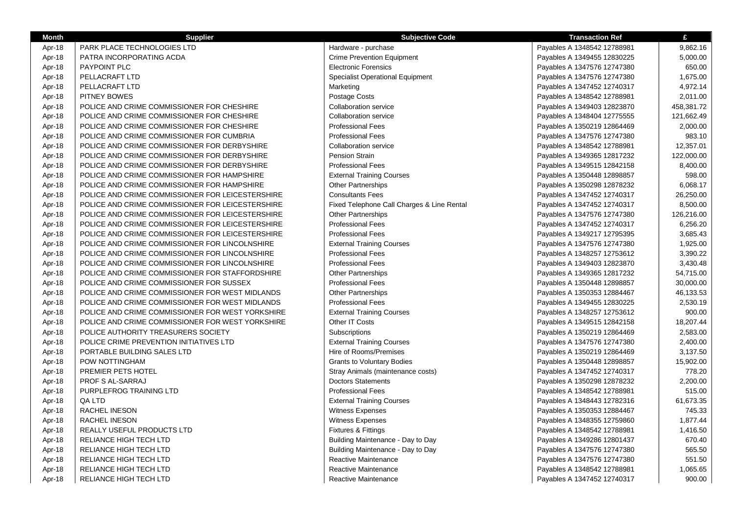| <b>Month</b> | <b>Supplier</b>                                  | <b>Subjective Code</b>                     | <b>Transaction Ref</b>      | £          |
|--------------|--------------------------------------------------|--------------------------------------------|-----------------------------|------------|
| Apr-18       | PARK PLACE TECHNOLOGIES LTD                      | Hardware - purchase                        | Payables A 1348542 12788981 | 9,862.16   |
| Apr-18       | PATRA INCORPORATING ACDA                         | <b>Crime Prevention Equipment</b>          | Payables A 1349455 12830225 | 5,000.00   |
| Apr-18       | PAYPOINT PLC                                     | <b>Electronic Forensics</b>                | Payables A 1347576 12747380 | 650.00     |
| Apr-18       | PELLACRAFT LTD                                   | <b>Specialist Operational Equipment</b>    | Payables A 1347576 12747380 | 1,675.00   |
| Apr-18       | PELLACRAFT LTD                                   | Marketing                                  | Payables A 1347452 12740317 | 4,972.14   |
| Apr-18       | PITNEY BOWES                                     | Postage Costs                              | Payables A 1348542 12788981 | 2,011.00   |
| Apr-18       | POLICE AND CRIME COMMISSIONER FOR CHESHIRE       | <b>Collaboration service</b>               | Payables A 1349403 12823870 | 458,381.72 |
| Apr-18       | POLICE AND CRIME COMMISSIONER FOR CHESHIRE       | Collaboration service                      | Payables A 1348404 12775555 | 121,662.49 |
| Apr-18       | POLICE AND CRIME COMMISSIONER FOR CHESHIRE       | <b>Professional Fees</b>                   | Payables A 1350219 12864469 | 2,000.00   |
| Apr-18       | POLICE AND CRIME COMMISSIONER FOR CUMBRIA        | <b>Professional Fees</b>                   | Payables A 1347576 12747380 | 983.10     |
| Apr-18       | POLICE AND CRIME COMMISSIONER FOR DERBYSHIRE     | <b>Collaboration service</b>               | Payables A 1348542 12788981 | 12,357.01  |
| Apr-18       | POLICE AND CRIME COMMISSIONER FOR DERBYSHIRE     | <b>Pension Strain</b>                      | Payables A 1349365 12817232 | 122,000.00 |
| Apr-18       | POLICE AND CRIME COMMISSIONER FOR DERBYSHIRE     | <b>Professional Fees</b>                   | Payables A 1349515 12842158 | 8,400.00   |
| Apr-18       | POLICE AND CRIME COMMISSIONER FOR HAMPSHIRE      | <b>External Training Courses</b>           | Payables A 1350448 12898857 | 598.00     |
| Apr-18       | POLICE AND CRIME COMMISSIONER FOR HAMPSHIRE      | <b>Other Partnerships</b>                  | Payables A 1350298 12878232 | 6,068.17   |
| Apr-18       | POLICE AND CRIME COMMISSIONER FOR LEICESTERSHIRE | <b>Consultants Fees</b>                    | Payables A 1347452 12740317 | 26,250.00  |
| Apr-18       | POLICE AND CRIME COMMISSIONER FOR LEICESTERSHIRE | Fixed Telephone Call Charges & Line Rental | Payables A 1347452 12740317 | 8,500.00   |
| Apr-18       | POLICE AND CRIME COMMISSIONER FOR LEICESTERSHIRE | <b>Other Partnerships</b>                  | Payables A 1347576 12747380 | 126,216.00 |
| Apr-18       | POLICE AND CRIME COMMISSIONER FOR LEICESTERSHIRE | <b>Professional Fees</b>                   | Payables A 1347452 12740317 | 6,256.20   |
| Apr-18       | POLICE AND CRIME COMMISSIONER FOR LEICESTERSHIRE | <b>Professional Fees</b>                   | Payables A 1349217 12795395 | 3,685.43   |
| Apr-18       | POLICE AND CRIME COMMISSIONER FOR LINCOLNSHIRE   | <b>External Training Courses</b>           | Payables A 1347576 12747380 | 1,925.00   |
| Apr-18       | POLICE AND CRIME COMMISSIONER FOR LINCOLNSHIRE   | <b>Professional Fees</b>                   | Payables A 1348257 12753612 | 3,390.22   |
| Apr-18       | POLICE AND CRIME COMMISSIONER FOR LINCOLNSHIRE   | <b>Professional Fees</b>                   | Payables A 1349403 12823870 | 3,430.48   |
| Apr-18       | POLICE AND CRIME COMMISSIONER FOR STAFFORDSHIRE  | <b>Other Partnerships</b>                  | Payables A 1349365 12817232 | 54,715.00  |
| Apr-18       | POLICE AND CRIME COMMISSIONER FOR SUSSEX         | <b>Professional Fees</b>                   | Payables A 1350448 12898857 | 30,000.00  |
| Apr-18       | POLICE AND CRIME COMMISSIONER FOR WEST MIDLANDS  | <b>Other Partnerships</b>                  | Payables A 1350353 12884467 | 46,133.53  |
| Apr-18       | POLICE AND CRIME COMMISSIONER FOR WEST MIDLANDS  | <b>Professional Fees</b>                   | Payables A 1349455 12830225 | 2,530.19   |
| Apr-18       | POLICE AND CRIME COMMISSIONER FOR WEST YORKSHIRE | <b>External Training Courses</b>           | Payables A 1348257 12753612 | 900.00     |
| Apr-18       | POLICE AND CRIME COMMISSIONER FOR WEST YORKSHIRE | Other IT Costs                             | Payables A 1349515 12842158 | 18,207.44  |
| Apr-18       | POLICE AUTHORITY TREASURERS SOCIETY              | Subscriptions                              | Payables A 1350219 12864469 | 2,583.00   |
| Apr-18       | POLICE CRIME PREVENTION INITIATIVES LTD          | <b>External Training Courses</b>           | Payables A 1347576 12747380 | 2,400.00   |
| Apr-18       | PORTABLE BUILDING SALES LTD                      | Hire of Rooms/Premises                     | Payables A 1350219 12864469 | 3,137.50   |
| Apr-18       | POW NOTTINGHAM                                   | <b>Grants to Voluntary Bodies</b>          | Payables A 1350448 12898857 | 15,902.00  |
| Apr-18       | PREMIER PETS HOTEL                               | Stray Animals (maintenance costs)          | Payables A 1347452 12740317 | 778.20     |
| Apr-18       | PROF S AL-SARRAJ                                 | <b>Doctors Statements</b>                  | Payables A 1350298 12878232 | 2,200.00   |
| Apr-18       | PURPLEFROG TRAINING LTD                          | <b>Professional Fees</b>                   | Payables A 1348542 12788981 | 515.00     |
| Apr-18       | QA LTD                                           | <b>External Training Courses</b>           | Payables A 1348443 12782316 | 61,673.35  |
| Apr-18       | RACHEL INESON                                    | <b>Witness Expenses</b>                    | Payables A 1350353 12884467 | 745.33     |
| Apr-18       | RACHEL INESON                                    | Witness Expenses                           | Payables A 1348355 12759860 | 1,877.44   |
| Apr-18       | REALLY USEFUL PRODUCTS LTD                       | Fixtures & Fittings                        | Payables A 1348542 12788981 | 1,416.50   |
| Apr-18       | RELIANCE HIGH TECH LTD                           | Building Maintenance - Day to Day          | Payables A 1349286 12801437 | 670.40     |
| Apr-18       | RELIANCE HIGH TECH LTD                           | Building Maintenance - Day to Day          | Payables A 1347576 12747380 | 565.50     |
| Apr-18       | RELIANCE HIGH TECH LTD                           | Reactive Maintenance                       | Payables A 1347576 12747380 | 551.50     |
| Apr-18       | <b>RELIANCE HIGH TECH LTD</b>                    | Reactive Maintenance                       | Payables A 1348542 12788981 | 1,065.65   |
| Apr-18       | RELIANCE HIGH TECH LTD                           | Reactive Maintenance                       | Payables A 1347452 12740317 | 900.00     |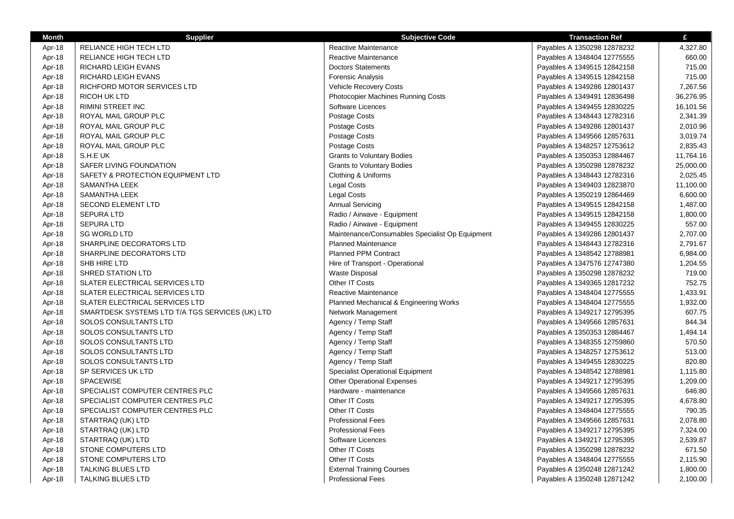| <b>Month</b> | <b>Supplier</b>                                 | <b>Subjective Code</b>                          | <b>Transaction Ref</b>      | £         |
|--------------|-------------------------------------------------|-------------------------------------------------|-----------------------------|-----------|
| Apr-18       | <b>RELIANCE HIGH TECH LTD</b>                   | Reactive Maintenance                            | Payables A 1350298 12878232 | 4,327.80  |
| Apr-18       | RELIANCE HIGH TECH LTD                          | Reactive Maintenance                            | Payables A 1348404 12775555 | 660.00    |
| Apr-18       | <b>RICHARD LEIGH EVANS</b>                      | <b>Doctors Statements</b>                       | Payables A 1349515 12842158 | 715.00    |
| Apr-18       | RICHARD LEIGH EVANS                             | Forensic Analysis                               | Payables A 1349515 12842158 | 715.00    |
| Apr-18       | RICHFORD MOTOR SERVICES LTD                     | Vehicle Recovery Costs                          | Payables A 1349286 12801437 | 7,267.56  |
| Apr-18       | <b>RICOH UK LTD</b>                             | <b>Photocopier Machines Running Costs</b>       | Payables A 1349491 12836498 | 36,276.95 |
| Apr-18       | <b>RIMINI STREET INC</b>                        | Software Licences                               | Payables A 1349455 12830225 | 16,101.56 |
| Apr-18       | ROYAL MAIL GROUP PLC                            | Postage Costs                                   | Payables A 1348443 12782316 | 2,341.39  |
| Apr-18       | ROYAL MAIL GROUP PLC                            | Postage Costs                                   | Payables A 1349286 12801437 | 2,010.96  |
| Apr-18       | ROYAL MAIL GROUP PLC                            | Postage Costs                                   | Payables A 1349566 12857631 | 3,019.74  |
| Apr-18       | ROYAL MAIL GROUP PLC                            | Postage Costs                                   | Payables A 1348257 12753612 | 2,835.43  |
| Apr-18       | S.H.E UK                                        | <b>Grants to Voluntary Bodies</b>               | Payables A 1350353 12884467 | 11,764.16 |
| Apr-18       | SAFER LIVING FOUNDATION                         | <b>Grants to Voluntary Bodies</b>               | Payables A 1350298 12878232 | 25,000.00 |
| Apr-18       | SAFETY & PROTECTION EQUIPMENT LTD               | Clothing & Uniforms                             | Payables A 1348443 12782316 | 2,025.45  |
| Apr-18       | SAMANTHA LEEK                                   | Legal Costs                                     | Payables A 1349403 12823870 | 11,100.00 |
| Apr-18       | <b>SAMANTHA LEEK</b>                            | Legal Costs                                     | Payables A 1350219 12864469 | 6,600.00  |
| Apr-18       | <b>SECOND ELEMENT LTD</b>                       | <b>Annual Servicing</b>                         | Payables A 1349515 12842158 | 1,487.00  |
| Apr-18       | <b>SEPURA LTD</b>                               | Radio / Airwave - Equipment                     | Payables A 1349515 12842158 | 1,800.00  |
| Apr-18       | <b>SEPURA LTD</b>                               | Radio / Airwave - Equipment                     | Payables A 1349455 12830225 | 557.00    |
| Apr-18       | <b>SG WORLD LTD</b>                             | Maintenance/Consumables Specialist Op Equipment | Payables A 1349286 12801437 | 2,707.00  |
| Apr-18       | SHARPLINE DECORATORS LTD                        | <b>Planned Maintenance</b>                      | Payables A 1348443 12782316 | 2,791.67  |
| Apr-18       | SHARPLINE DECORATORS LTD                        | <b>Planned PPM Contract</b>                     | Payables A 1348542 12788981 | 6,984.00  |
| Apr-18       | SHB HIRE LTD                                    | Hire of Transport - Operational                 | Payables A 1347576 12747380 | 1,204.55  |
| Apr-18       | SHRED STATION LTD                               | <b>Waste Disposal</b>                           | Payables A 1350298 12878232 | 719.00    |
| Apr-18       | SLATER ELECTRICAL SERVICES LTD                  | Other IT Costs                                  | Payables A 1349365 12817232 | 752.75    |
| Apr-18       | SLATER ELECTRICAL SERVICES LTD                  | Reactive Maintenance                            | Payables A 1348404 12775555 | 1,433.91  |
| Apr-18       | SLATER ELECTRICAL SERVICES LTD                  | Planned Mechanical & Engineering Works          | Payables A 1348404 12775555 | 1,932.00  |
| Apr-18       | SMARTDESK SYSTEMS LTD T/A TGS SERVICES (UK) LTD | Network Management                              | Payables A 1349217 12795395 | 607.75    |
| Apr-18       | SOLOS CONSULTANTS LTD                           | Agency / Temp Staff                             | Payables A 1349566 12857631 | 844.34    |
| Apr-18       | SOLOS CONSULTANTS LTD                           | Agency / Temp Staff                             | Payables A 1350353 12884467 | 1,494.14  |
| Apr-18       | SOLOS CONSULTANTS LTD                           | Agency / Temp Staff                             | Payables A 1348355 12759860 | 570.50    |
| Apr-18       | SOLOS CONSULTANTS LTD                           | Agency / Temp Staff                             | Payables A 1348257 12753612 | 513.00    |
| Apr-18       | SOLOS CONSULTANTS LTD                           | Agency / Temp Staff                             | Payables A 1349455 12830225 | 820.80    |
| Apr-18       | SP SERVICES UK LTD                              | Specialist Operational Equipment                | Payables A 1348542 12788981 | 1,115.80  |
| Apr-18       | <b>SPACEWISE</b>                                | <b>Other Operational Expenses</b>               | Payables A 1349217 12795395 | 1,209.00  |
| Apr-18       | SPECIALIST COMPUTER CENTRES PLC                 | Hardware - maintenance                          | Payables A 1349566 12857631 | 646.80    |
| Apr-18       | SPECIALIST COMPUTER CENTRES PLC                 | Other IT Costs                                  | Payables A 1349217 12795395 | 4,678.80  |
| Apr-18       | SPECIALIST COMPUTER CENTRES PLC                 | Other IT Costs                                  | Payables A 1348404 12775555 | 790.35    |
| Apr-18       | STARTRAQ (UK) LTD                               | <b>Professional Fees</b>                        | Payables A 1349566 12857631 | 2,078.80  |
| Apr-18       | STARTRAQ (UK) LTD                               | <b>Professional Fees</b>                        | Payables A 1349217 12795395 | 7,324.00  |
| Apr-18       | STARTRAQ (UK) LTD                               | Software Licences                               | Payables A 1349217 12795395 | 2,539.87  |
| Apr-18       | STONE COMPUTERS LTD                             | Other IT Costs                                  | Payables A 1350298 12878232 | 671.50    |
| Apr-18       | STONE COMPUTERS LTD                             | Other IT Costs                                  | Payables A 1348404 12775555 | 2,115.90  |
| Apr-18       | TALKING BLUES LTD                               | <b>External Training Courses</b>                | Payables A 1350248 12871242 | 1,800.00  |
| Apr-18       | <b>TALKING BLUES LTD</b>                        | <b>Professional Fees</b>                        | Payables A 1350248 12871242 | 2,100.00  |